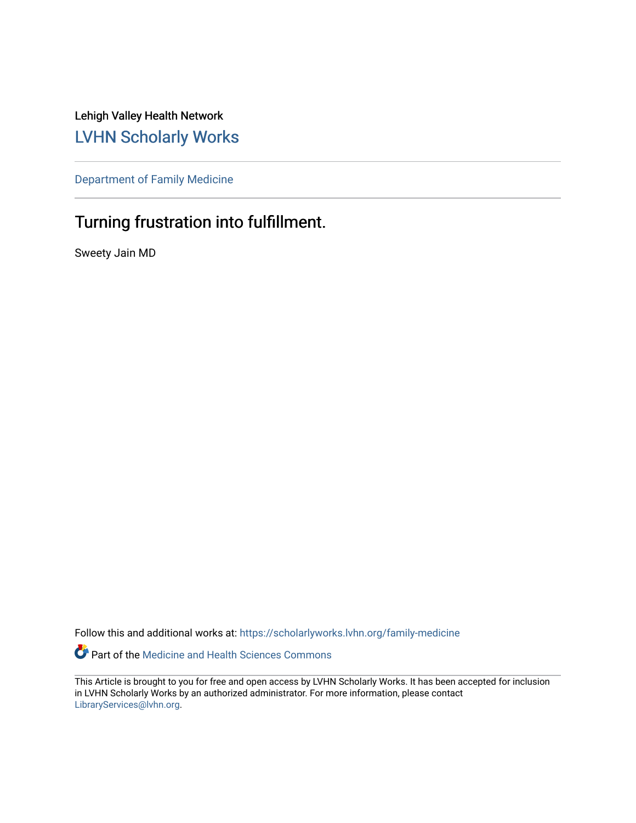Lehigh Valley Health Network [LVHN Scholarly Works](https://scholarlyworks.lvhn.org/)

[Department of Family Medicine](https://scholarlyworks.lvhn.org/family-medicine) 

# Turning frustration into fulfillment.

Sweety Jain MD

Follow this and additional works at: [https://scholarlyworks.lvhn.org/family-medicine](https://scholarlyworks.lvhn.org/family-medicine?utm_source=scholarlyworks.lvhn.org%2Ffamily-medicine%2F762&utm_medium=PDF&utm_campaign=PDFCoverPages) 

Part of the [Medicine and Health Sciences Commons](http://network.bepress.com/hgg/discipline/648?utm_source=scholarlyworks.lvhn.org%2Ffamily-medicine%2F762&utm_medium=PDF&utm_campaign=PDFCoverPages) 

This Article is brought to you for free and open access by LVHN Scholarly Works. It has been accepted for inclusion in LVHN Scholarly Works by an authorized administrator. For more information, please contact [LibraryServices@lvhn.org](mailto:LibraryServices@lvhn.org).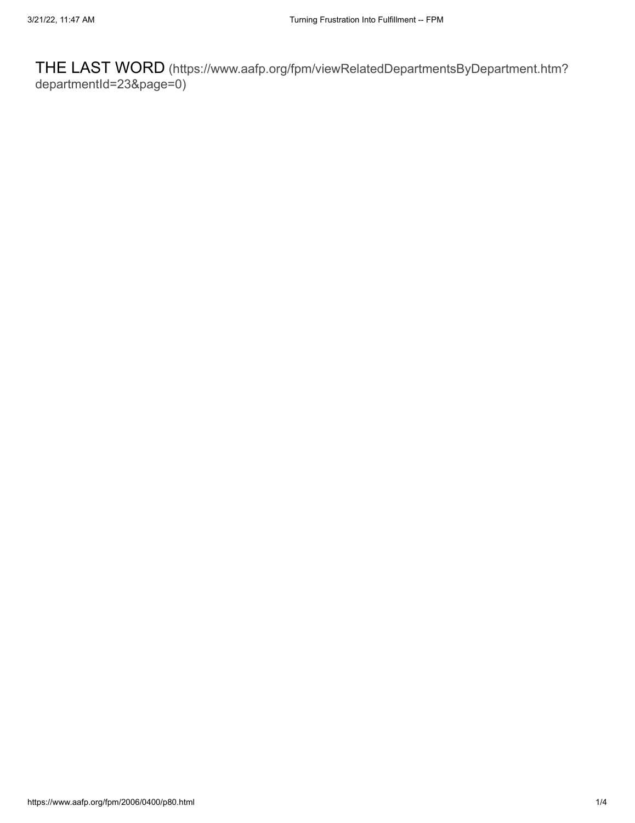THE LAST WORD [\(https://www.aafp.org/fpm/viewRelatedDepartmentsByDepartment.htm?](https://www.aafp.org/fpm/viewRelatedDepartmentsByDepartment.htm?departmentId=23&page=0) departmentId=23&page=0)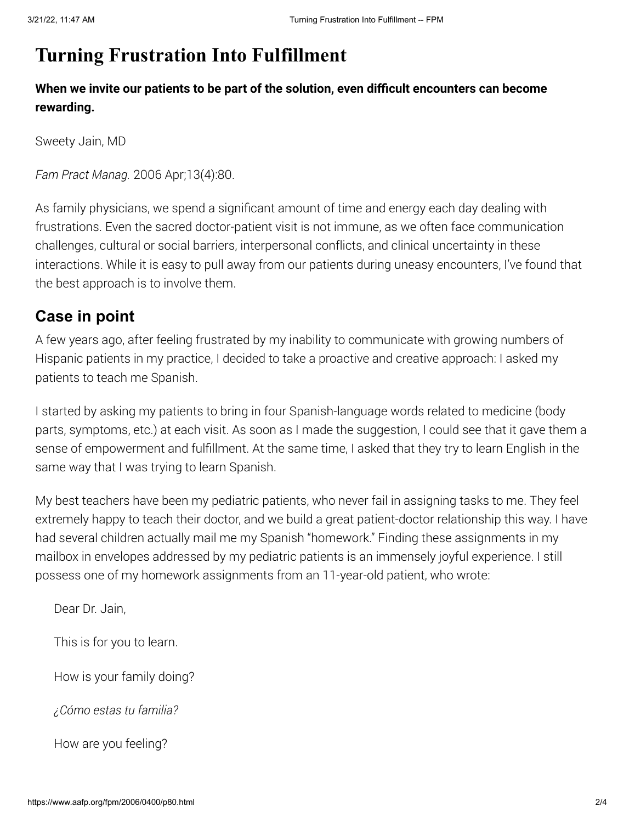# **Turning Frustration Into Fulfillment**

**When we invite our patients to be part of the solution, even difficult encounters can become rewarding.**

Sweety Jain, MD

*Fam Pract Manag.* 2006 Apr;13(4):80.

As family physicians, we spend a significant amount of time and energy each day dealing with frustrations. Even the sacred doctor-patient visit is not immune, as we often face communication challenges, cultural or social barriers, interpersonal conflicts, and clinical uncertainty in these interactions. While it is easy to pull away from our patients during uneasy encounters, I've found that the best approach is to involve them.

## **Case in point**

A few years ago, after feeling frustrated by my inability to communicate with growing numbers of Hispanic patients in my practice, I decided to take a proactive and creative approach: I asked my patients to teach me Spanish.

I started by asking my patients to bring in four Spanish-language words related to medicine (body parts, symptoms, etc.) at each visit. As soon as I made the suggestion, I could see that it gave them a sense of empowerment and fulfillment. At the same time, I asked that they try to learn English in the same way that I was trying to learn Spanish.

My best teachers have been my pediatric patients, who never fail in assigning tasks to me. They feel extremely happy to teach their doctor, and we build a great patient-doctor relationship this way. I have had several children actually mail me my Spanish "homework." Finding these assignments in my mailbox in envelopes addressed by my pediatric patients is an immensely joyful experience. I still possess one of my homework assignments from an 11-year-old patient, who wrote:

Dear Dr. Jain,

This is for you to learn.

How is your family doing?

*¿Cómo estas tu familia?*

How are you feeling?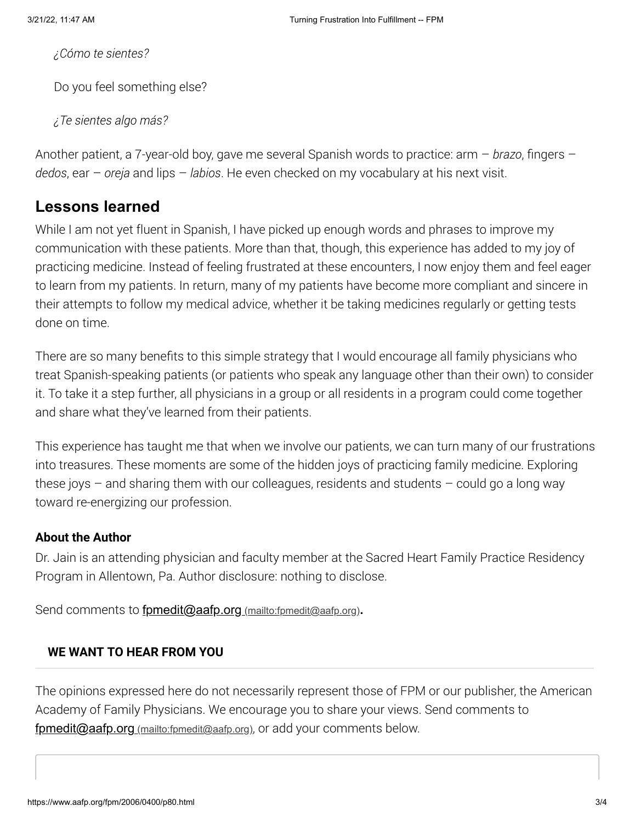*¿Cómo te sientes?*

Do you feel something else?

*¿Te sientes algo más?*

Another patient, a 7-year-old boy, gave me several Spanish words to practice: arm – *brazo*, fingers – *dedos*, ear – *oreja* and lips – *labios*. He even checked on my vocabulary at his next visit.

## **Lessons learned**

While I am not yet fluent in Spanish, I have picked up enough words and phrases to improve my communication with these patients. More than that, though, this experience has added to my joy of practicing medicine. Instead of feeling frustrated at these encounters, I now enjoy them and feel eager to learn from my patients. In return, many of my patients have become more compliant and sincere in their attempts to follow my medical advice, whether it be taking medicines regularly or getting tests done on time.

There are so many benefits to this simple strategy that I would encourage all family physicians who treat Spanish-speaking patients (or patients who speak any language other than their own) to consider it. To take it a step further, all physicians in a group or all residents in a program could come together and share what they've learned from their patients.

This experience has taught me that when we involve our patients, we can turn many of our frustrations into treasures. These moments are some of the hidden joys of practicing family medicine. Exploring these joys  $-$  and sharing them with our colleagues, residents and students  $-$  could go a long way toward re-energizing our profession.

#### **About the Author**

Dr. Jain is an attending physician and faculty member at the Sacred Heart Family Practice Residency Program in Allentown, Pa. Author disclosure: nothing to disclose.

Send comments to *[fpmedit@aafp.org](mailto:fpmedit@aafp.org)* (mailto:fpmedit@aafp.org).

#### **WE WANT TO HEAR FROM YOU**

The opinions expressed here do not necessarily represent those of FPM or our publisher, the American Academy of Family Physicians. We encourage you to share your views. Send comments to fomedit@aafp.org (mailto:[fpmedit@aafp.org](mailto:fpmedit@aafp.org)), or add your comments below.